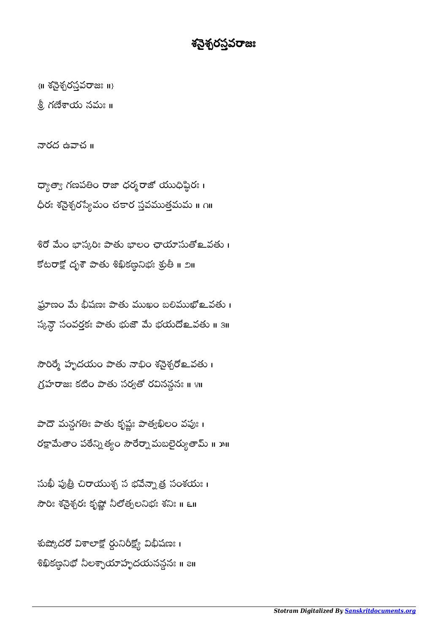## శనేశ్వరస్థవరాజు

 $\{ \text{II} \text{ } \delta \geqslant \delta \}$ రస్తవరాజు  $\text{II} \}$ 

న్దీ గణేశాయ నమః ॥

నారద ఉవాచ ॥

ధ్యాత్వా గణపతిం రాజా ధర్మరాజో యుధిష్ఠిర: । ధీరః శసైశ్చరస్యేమం చకార స్తవముత్తమమ ॥ ౧॥

శిరో మేం భాస్కరిః పాతు భాలం ఛాయాసుతో உవతు। కోటరాక్షో దృశౌ పాతు శిఖికణ్ణనిభః శ్రుతీ ॥ ౨॥

ఘాణం మే భీషణః పాతు ముఖం బలిముఖో లవతు। స్కన్డౌ సంవర్తకః పాతు భుజౌ మె భయదొల్ వతు ॥ ३॥

సౌరిర్మే హృదయం పాతు నాభిం శసైశ్చరో కవతు । గ్రహరాజః కటిం పాతు సర్వతో రవినన్ధనః ॥ ४॥

పాదౌ మన్గగతిః పాతు కృష్ణః పాత్వఖిలం వపుః। రక్షామేతాం పఠేన్ని త్యం సౌరేర్నా మబలైర్యుతామ్ ॥ ౫॥

సుఖీ పుత్రీ చిరాయుశ్చ స భవేన్నా త్ర సంశయః । 30: శనైశ్చరః కృష్ణో నీలోత్పలనిభః శనిః ॥ Ell

శుష్కోదరో విశాలాక్షో ర్ధునిరీక్ష్యో విభీషణ: 1 శిఖికణ్దనిభో నీలశ్చాయాహృదయనన్గనః ॥ ౭॥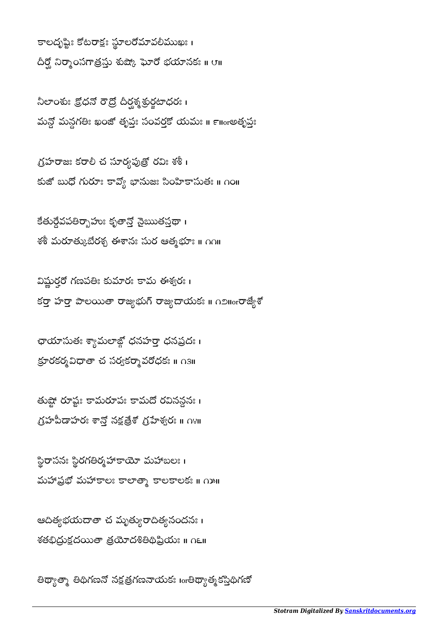తిథ్యాత్నా తిథిగణనో నక్షత్రగణనాయకః <sub>lor</sub>తిథ్యాత్మకస్తిథిగణో

ఆదిత్యభయదాతా చ మృత్యురాదిత్యనందనః । శతభిద్రుక్షదయితా త్రయోదశితిథిప్రియః ॥ ౧౬॥

స్థిరాసనః స్థిరగతిర్మహాకాయో మహాబలః ।  $\overline{a}$ మహాప్రభో మహాకాలః కాలాత్మా కాలకాలకః ॥ గుు॥

తుష్టో రూష్టః కామరూపః కామదో రవినన్లనః ।  $\tilde{\mathcal{O}}$ హీపీడాహరః శాన్తో నక్షత్రేశో $\tilde{\mathcal{O}}$ హేశ్వరః ॥  $\Omega$ ೪॥

ఛాయాసుతః శ్యామలాజ్లో ధనహర్తా ధనప్రదః । క్రూరకర్మవిధాతా చ సర్వకర్మావరోధకః ॥ ౧౩॥

విష్ణుర్తరో గణపతిః కుమారః కామ ఈశ్వరః । కర్తా హర్తా పాలయితా రాజ్యభుగ్ రాజ్యదాయక: ။  $\bigcap_{\alpha\in\mathbb{N}}\mathfrak{F}^{\alpha}$ శ్య

కేతుర్దేవపతిర్భాహుః కృతాన్తో నైఋతస్తథా । శశీ మరూత్కుబేరశ్చ ఈశానః సుర ఆత్మభూః ॥ ∩∩॥

గ్రహరాజః కరాలీ చ సూర్యపుత్రో రవిః శశీ। కుజో బుధో గురూః కావ్యో భానుజః సింహికాసుతః ॥ ౧౦॥

నీలాంశు: క్రోధనో రౌద్రో దీర్ఘశ్శ ఫ్రర్డటాధర: 1 మన్దో మన్దగతిః ఖంజో తృప్తః సంవర్తకో యమః ॥ ౯॥orఅతృప్తః

కాలదృష్టిః కోటరాక్షః స్థూలరోమావలీముఖః। దీర్ఘో నిర్మాంసగాత్రస్తు శుష్కో ఘోరో భయానకః ॥ ౮॥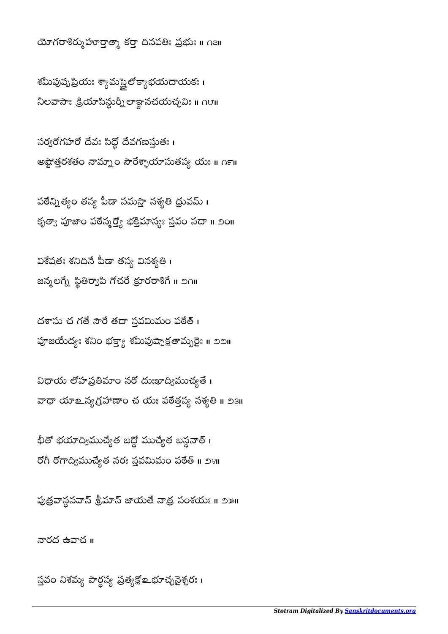స్తవం నిశమ్య పార్థస్య ప్రత్యక్షో உభూచ్ఛనైశ్చరః ।

నారద ఉవాచ ॥

పుత్రవాన్దనవాన్ శ్రీమాన్ జాయతే నాత్ర సంశయః ॥ ౨౫॥

భితో భయాద్యిముచ్యేత బద్ధో ముచ్యేత బస్ధనాతి । రోగీ రోగాద్విముచ్యేత నరః స్తవమిమం పఠేత్ ॥ ౨౪॥

విధాయ లోహప్రతిమాం నరో దుఃఖాద్విముచ్యతే । వాధా యాஉన్య గ్రహాణాం చ యః పఠేత్తస్య నశ్యతి ॥ ౨౩॥

దశాసు చ గతే సౌరే తదా స్తవమిమం పఠేత్ । పూజయేద్యః శనిం భక్త్యా శమీపుష్పాక్షతామృరైః ॥ ౨౨॥

విశేషతః శనిదినే పీడా తస్య వినశ్యతి। జన్మలగ్నే స్థితిర్వాపి గోచరే క్రూరరాశిగే <mark>။</mark> ౨౧။

పఠేన్నిత్యం తస్య పీడా సమస్తా నశ్యతి ధ్రువమ్ । కృత్యా పూజా౦ పఠేన్మర్త్యో భక్తిమాన్యః స్తవ౦ సదా ॥ ౨౦॥

సర్వరొగహరో దేవః సిద్ధో దేవగణస్తుతః । అష్టోత్తరశతం నామ్నాం సౌరేశ్ఛాయాసుతస్య యః ॥ ౧౯॥

శమీపుష్పమైయః శ్యామస్త్రైలోక్యాభయదాయకః । నీలవాసాః క్రియాసిన్దుర్నీలాజ్ఞానచయచ్ఛవిః ॥ ౧౮॥

యోగరాశిర్ముహూర్తాత్మా కర్తా దినపతిః ప్రభుః ॥ ౧౭॥